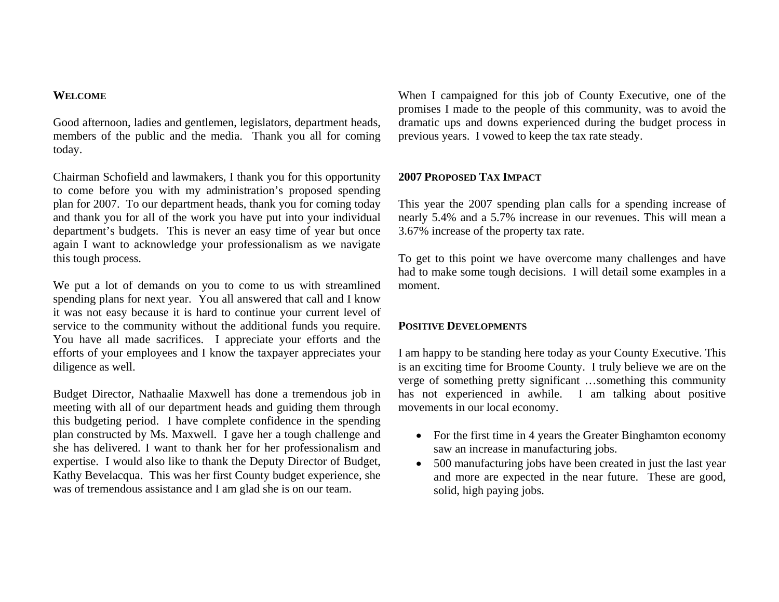#### **WELCOME**

Good afternoon, ladies and gentlemen, legislators, department heads, members of the public and the media. Thank you all for coming today.

Chairman Schofield and lawmakers, I thank you for this opportunity to come before you with my administration's proposed spending plan for 2007. To our department heads, thank you for coming today and thank you for all of the work you have put into your individual department's budgets. This is never an easy time of year but once again I want to acknowledge your professionalism as we navigate this tough process.

We put a lot of demands on you to come to us with streamlined spending plans for next year. You all answered that call and I know it was not easy because it is hard to continue your current level of service to the community without the additional funds you require. You have all made sacrifices. I appreciate your efforts and the efforts of your employees and I know the taxpayer appreciates your diligence as well.

Budget Director, Nathaalie Maxwell has done a tremendous job in meeting with all of our department heads and guiding them through this budgeting period. I have complete confidence in the spending plan constructed by Ms. Maxwell. I gave her a tough challenge and she has delivered. I want to thank her for her professionalism and expertise. I would also like to thank the Deputy Director of Budget, Kathy Bevelacqua. This was her first County budget experience, she was of tremendous assistance and I am glad she is on our team.

When I campaigned for this job of County Executive, one of the promises I made to the people of this community, was to avoid the dramatic ups and downs experienced during the budget process in previous years. I vowed to keep the tax rate steady.

# **2007 PROPOSED TAX IMPACT**

This year the 2007 spending plan calls for a spending increase of nearly 5.4% and a 5.7% increase in our revenues. This will mean a 3.67% increase of the property tax rate.

To get to this point we have overcome many challenges and have had to make some tough decisions. I will detail some examples in a moment.

# **POSITIVE DEVELOPMENTS**

I am happy to be standing here today as your County Executive. This is an exciting time for Broome County. I truly believe we are on the verge of something pretty significant …something this community has not experienced in awhile. I am talking about positive movements in our local economy.

- For the first time in 4 years the Greater Binghamton economy saw an increase in manufacturing jobs.
- • 500 manufacturing jobs have been created in just the last year and more are expected in the near future. These are good, solid, high paying jobs.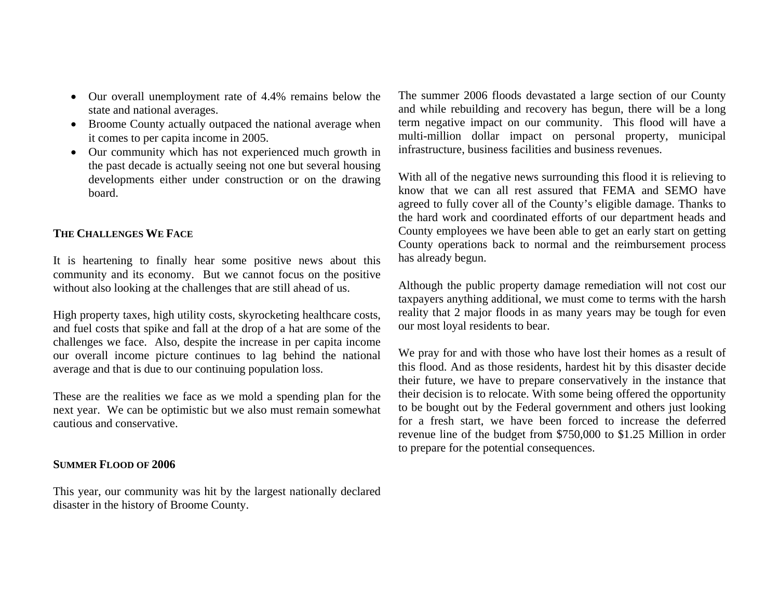- Our overall unemployment rate of 4.4% remains below the state and national averages.
- Broome County actually outpaced the national average when it comes to per capita income in 2005.
- Our community which has not experienced much growth in the past decade is actually seeing not one but several housing developments either under construction or on the drawing board.

# **THE CHALLENGES WE FACE**

It is heartening to finally hear some positive news about this community and its economy. But we cannot focus on the positive without also looking at the challenges that are still ahead of us.

High property taxes, high utility costs, skyrocketing healthcare costs, and fuel costs that spike and fall at the drop of a hat are some of the challenges we face. Also, despite the increase in per capita income our overall income picture continues to lag behind the national average and that is due to our continuing population loss.

These are the realities we face as we mold a spending plan for the next year. We can be optimistic but we also must remain somewhat cautious and conservative.

# **SUMMER FLOOD OF 2006**

This year, our community was hit by the largest nationally declared disaster in the history of Broome County.

The summer 2006 floods devastated a large section of our County and while rebuilding and recovery has begun, there will be a long term negative impact on our community. This flood will have a multi-million dollar impact on personal property, municipal infrastructure, business facilities and business revenues.

With all of the negative news surrounding this flood it is relieving to know that we can all rest assured that FEMA and SEMO have agreed to fully cover all of the County's eligible damage. Thanks to the hard work and coordinated efforts of our department heads and County employees we have been able to get an early start on getting County operations back to normal and the reimbursement process has already begun.

Although the public property damage remediation will not cost our taxpayers anything additional, we must come to terms with the harsh reality that 2 major floods in as many years may be tough for even our most loyal residents to bear.

We pray for and with those who have lost their homes as a result of this flood. And as those residents, hardest hit by this disaster decide their future, we have to prepare conservatively in the instance that their decision is to relocate. With some being offered the opportunity to be bought out by the Federal government and others just looking for a fresh start, we have been forced to increase the deferred revenue line of the budget from \$750,000 to \$1.25 Million in order to prepare for the potential consequences.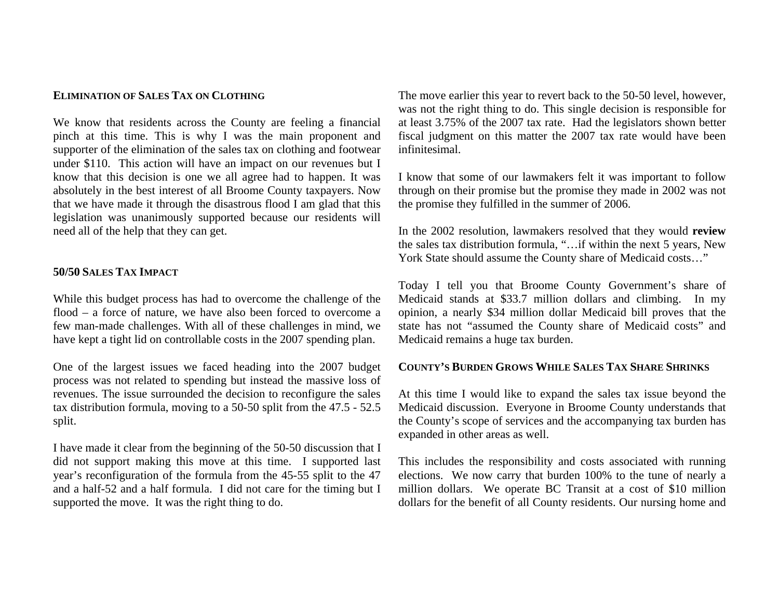### **ELIMINATION OF SALES TAX ON CLOTHING**

We know that residents across the County are feeling a financial pinch at this time. This is why I was the main proponent and supporter of the elimination of the sales tax on clothing and footwear under \$110. This action will have an impact on our revenues but I know that this decision is one we all agree had to happen. It was absolutely in the best interest of all Broome County taxpayers. Now that we have made it through the disastrous flood I am glad that this legislation was unanimously supported because our residents will need all of the help that they can get.

## **50/50 SALES TAX IMPACT**

While this budget process has had to overcome the challenge of the flood – a force of nature, we have also been forced to overcome a few man-made challenges. With all of these challenges in mind, we have kept a tight lid on controllable costs in the 2007 spending plan.

One of the largest issues we faced heading into the 2007 budget process was not related to spending but instead the massive loss of revenues. The issue surrounded the decision to reconfigure the sales tax distribution formula, moving to a 50-50 split from the 47.5 - 52.5 split.

I have made it clear from the beginning of the 50-50 discussion that I did not support making this move at this time. I supported last year's reconfiguration of the formula from the 45-55 split to the 47 and a half-52 and a half formula. I did not care for the timing but I supported the move. It was the right thing to do.

The move earlier this year to revert back to the 50-50 level, however, was not the right thing to do. This single decision is responsible for at least 3.75% of the 2007 tax rate. Had the legislators shown better fiscal judgment on this matter the 2007 tax rate would have been infinitesimal.

I know that some of our lawmakers felt it was important to follow through on their promise but the promise they made in 2002 was not the promise they fulfilled in the summer of 2006.

In the 2002 resolution, lawmakers resolved that they would **review** the sales tax distribution formula, "…if within the next 5 years, New York State should assume the County share of Medicaid costs…"

Today I tell you that Broome County Government's share of Medicaid stands at \$33.7 million dollars and climbing. In my opinion, a nearly \$34 million dollar Medicaid bill proves that the state has not "assumed the County share of Medicaid costs" and Medicaid remains a huge tax burden.

### **COUNTY'S BURDEN GROWS WHILE SALES TAX SHARE SHRINKS**

At this time I would like to expand the sales tax issue beyond the Medicaid discussion. Everyone in Broome County understands that the County's scope of services and the accompanying tax burden has expanded in other areas as well.

This includes the responsibility and costs associated with running elections. We now carry that burden 100% to the tune of nearly a million dollars. We operate BC Transit at a cost of \$10 million dollars for the benefit of all County residents. Our nursing home and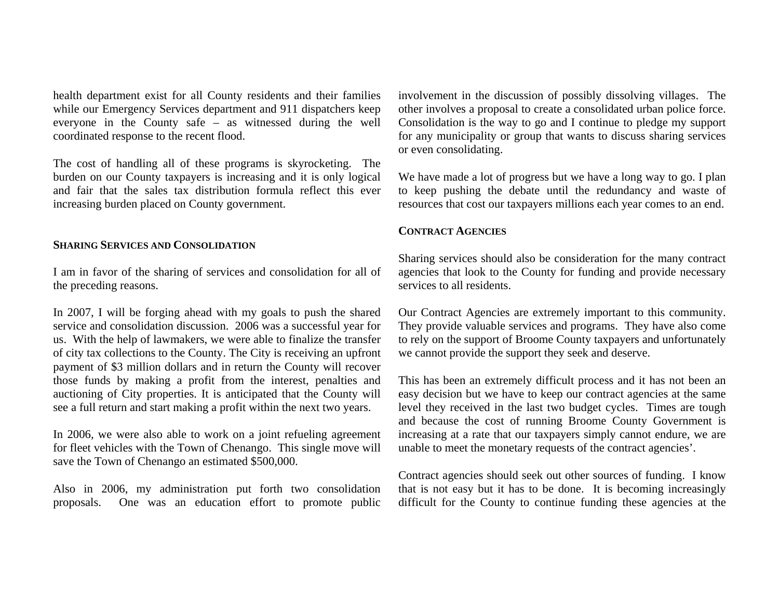health department exist for all County residents and their families while our Emergency Services department and 911 dispatchers keep everyone in the County safe – as witnessed during the well coordinated response to the recent flood.

The cost of handling all of these programs is skyrocketing. The burden on our County taxpayers is increasing and it is only logical and fair that the sales tax distribution formula reflect this ever increasing burden placed on County government.

### **SHARING SERVICES AND CONSOLIDATION**

I am in favor of the sharing of services and consolidation for all of the preceding reasons.

In 2007, I will be forging ahead with my goals to push the shared service and consolidation discussion. 2006 was a successful year for us. With the help of lawmakers, we were able to finalize the transfer of city tax collections to the County. The City is receiving an upfront payment of \$3 million dollars and in return the County will recover those funds by making a profit from the interest, penalties and auctioning of City properties. It is anticipated that the County will see a full return and start making a profit within the next two years.

In 2006, we were also able to work on a joint refueling agreement for fleet vehicles with the Town of Chenango. This single move will save the Town of Chenango an estimated \$500,000.

Also in 2006, my administration put forth two consolidation proposals. One was an education effort to promote public

involvement in the discussion of possibly dissolving villages. The other involves a proposal to create a consolidated urban police force. Consolidation is the way to go and I continue to pledge my support for any municipality or group that wants to discuss sharing services or even consolidating.

We have made a lot of progress but we have a long way to go. I plan to keep pushing the debate until the redundancy and waste of resources that cost our taxpayers millions each year comes to an end.

# **CONTRACT AGENCIES**

Sharing services should also be consideration for the many contract agencies that look to the County for funding and provide necessary services to all residents.

Our Contract Agencies are extremely important to this community. They provide valuable services and programs. They have also come to rely on the support of Broome County taxpayers and unfortunately we cannot provide the support they seek and deserve.

This has been an extremely difficult process and it has not been an easy decision but we have to keep our contract agencies at the same level they received in the last two budget cycles. Times are tough and because the cost of running Broome County Government is increasing at a rate that our taxpayers simply cannot endure, we are unable to meet the monetary requests of the contract agencies'.

Contract agencies should seek out other sources of funding. I know that is not easy but it has to be done. It is becoming increasingly difficult for the County to continue funding these agencies at the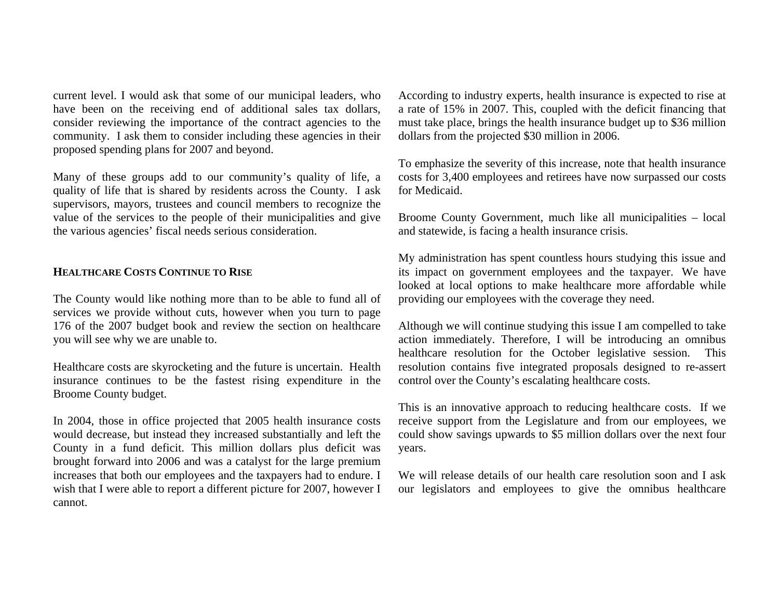current level. I would ask that some of our municipal leaders, who have been on the receiving end of additional sales tax dollars, consider reviewing the importance of the contract agencies to the community. I ask them to consider including these agencies in their proposed spending plans for 2007 and beyond.

Many of these groups add to our community's quality of life, a quality of life that is shared by residents across the County. I ask supervisors, mayors, trustees and council members to recognize the value of the services to the people of their municipalities and give the various agencies' fiscal needs serious consideration.

## **HEALTHCARE COSTS CONTINUE TO RISE**

The County would like nothing more than to be able to fund all of services we provide without cuts, however when you turn to page 176 of the 2007 budget book and review the section on healthcare you will see why we are unable to.

Healthcare costs are skyrocketing and the future is uncertain. Health insurance continues to be the fastest rising expenditure in the Broome County budget.

In 2004, those in office projected that 2005 health insurance costs would decrease, but instead they increased substantially and left the County in a fund deficit. This million dollars plus deficit was brought forward into 2006 and was a catalyst for the large premium increases that both our employees and the taxpayers had to endure. I wish that I were able to report a different picture for 2007, however I cannot.

According to industry experts, health insurance is expected to rise at a rate of 15% in 2007. This, coupled with the deficit financing that must take place, brings the health insurance budget up to \$36 million dollars from the projected \$30 million in 2006.

To emphasize the severity of this increase, note that health insurance costs for 3,400 employees and retirees have now surpassed our costs for Medicaid.

Broome County Government, much like all municipalities – local and statewide, is facing a health insurance crisis.

My administration has spent countless hours studying this issue and its impact on government employees and the taxpayer. We have looked at local options to make healthcare more affordable while providing our employees with the coverage they need.

Although we will continue studying this issue I am compelled to take action immediately. Therefore, I will be introducing an omnibus healthcare resolution for the October legislative session. This resolution contains five integrated proposals designed to re-assert control over the County's escalating healthcare costs.

This is an innovative approach to reducing healthcare costs. If we receive support from the Legislature and from our employees, we could show savings upwards to \$5 million dollars over the next four years.

We will release details of our health care resolution soon and I ask our legislators and employees to give the omnibus healthcare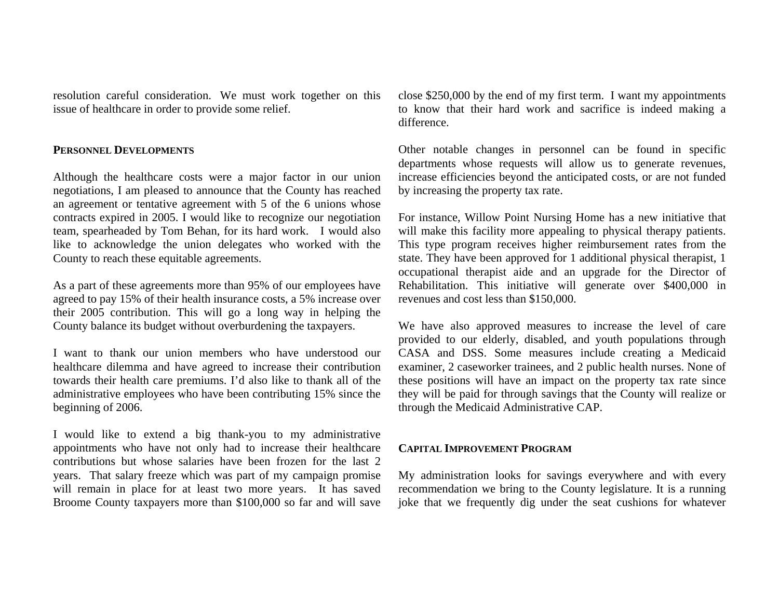resolution careful consideration. We must work together on this issue of healthcare in order to provide some relief.

#### **PERSONNEL DEVELOPMENTS**

Although the healthcare costs were a major factor in our union negotiations, I am pleased to announce that the County has reached an agreement or tentative agreement with 5 of the 6 unions whose contracts expired in 2005. I would like to recognize our negotiation team, spearheaded by Tom Behan, for its hard work. I would also like to acknowledge the union delegates who worked with the County to reach these equitable agreements.

As a part of these agreements more than 95% of our employees have agreed to pay 15% of their health insurance costs, a 5% increase over their 2005 contribution. This will go a long way in helping the County balance its budget without overburdening the taxpayers.

I want to thank our union members who have understood our healthcare dilemma and have agreed to increase their contribution towards their health care premiums. I'd also like to thank all of the administrative employees who have been contributing 15% since the beginning of 2006.

I would like to extend a big thank-you to my administrative appointments who have not only had to increase their healthcare contributions but whose salaries have been frozen for the last 2 years. That salary freeze which was part of my campaign promise will remain in place for at least two more years. It has saved Broome County taxpayers more than \$100,000 so far and will save close \$250,000 by the end of my first term. I want my appointments to know that their hard work and sacrifice is indeed making a difference.

Other notable changes in personnel can be found in specific departments whose requests will allow us to generate revenues, increase efficiencies beyond the anticipated costs, or are not funded by increasing the property tax rate.

For instance, Willow Point Nursing Home has a new initiative that will make this facility more appealing to physical therapy patients. This type program receives higher reimbursement rates from the state. They have been approved for 1 additional physical therapist, 1 occupational therapist aide and an upgrade for the Director of Rehabilitation. This initiative will generate over \$400,000 in revenues and cost less than \$150,000.

We have also approved measures to increase the level of care provided to our elderly, disabled, and youth populations through CASA and DSS. Some measures include creating a Medicaid examiner, 2 caseworker trainees, and 2 public health nurses. None of these positions will have an impact on the property tax rate since they will be paid for through savings that the County will realize or through the Medicaid Administrative CAP.

#### **CAPITAL IMPROVEMENT PROGRAM**

My administration looks for savings everywhere and with every recommendation we bring to the County legislature. It is a running joke that we frequently dig under the seat cushions for whatever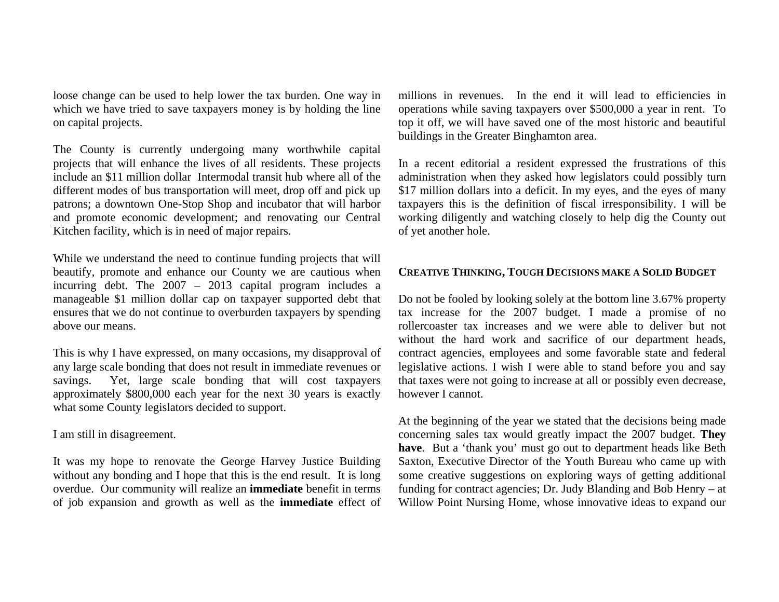loose change can be used to help lower the tax burden. One way in which we have tried to save taxpayers money is by holding the line on capital projects.

The County is currently undergoing many worthwhile capital projects that will enhance the lives of all residents. These projects include an \$11 million dollar Intermodal transit hub where all of the different modes of bus transportation will meet, drop off and pick up patrons; a downtown One-Stop Shop and incubator that will harbor and promote economic development; and renovating our Central Kitchen facility, which is in need of major repairs.

While we understand the need to continue funding projects that will beautify, promote and enhance our County we are cautious when incurring debt. The 2007 – 2013 capital program includes a manageable \$1 million dollar cap on taxpayer supported debt that ensures that we do not continue to overburden taxpayers by spending above our means.

This is why I have expressed, on many occasions, my disapproval of any large scale bonding that does not result in immediate revenues or savings. Yet, large scale bonding that will cost taxpayers approximately \$800,000 each year for the next 30 years is exactly what some County legislators decided to support.

I am still in disagreement.

It was my hope to renovate the George Harvey Justice Building without any bonding and I hope that this is the end result. It is long overdue. Our community will realize an **immediate** benefit in terms of job expansion and growth as well as the **immediate** effect of

millions in revenues. In the end it will lead to efficiencies in operations while saving taxpayers over \$500,000 a year in rent. To top it off, we will have saved one of the most historic and beautiful buildings in the Greater Binghamton area.

In a recent editorial a resident expressed the frustrations of this administration when they asked how legislators could possibly turn \$17 million dollars into a deficit. In my eyes, and the eyes of many taxpayers this is the definition of fiscal irresponsibility. I will be working diligently and watching closely to help dig the County out of yet another hole.

# **CREATIVE THINKING, TOUGH DECISIONS MAKE A SOLID BUDGET**

Do not be fooled by looking solely at the bottom line 3.67% property tax increase for the 2007 budget. I made a promise of no rollercoaster tax increases and we were able to deliver but not without the hard work and sacrifice of our department heads, contract agencies, employees and some favorable state and federal legislative actions. I wish I were able to stand before you and say that taxes were not going to increase at all or possibly even decrease, however I cannot.

At the beginning of the year we stated that the decisions being made concerning sales tax would greatly impact the 2007 budget. **They have**. But a 'thank you' must go out to department heads like Beth Saxton, Executive Director of the Youth Bureau who came up with some creative suggestions on exploring ways of getting additional funding for contract agencies; Dr. Judy Blanding and Bob Henry – at Willow Point Nursing Home, whose innovative ideas to expand our